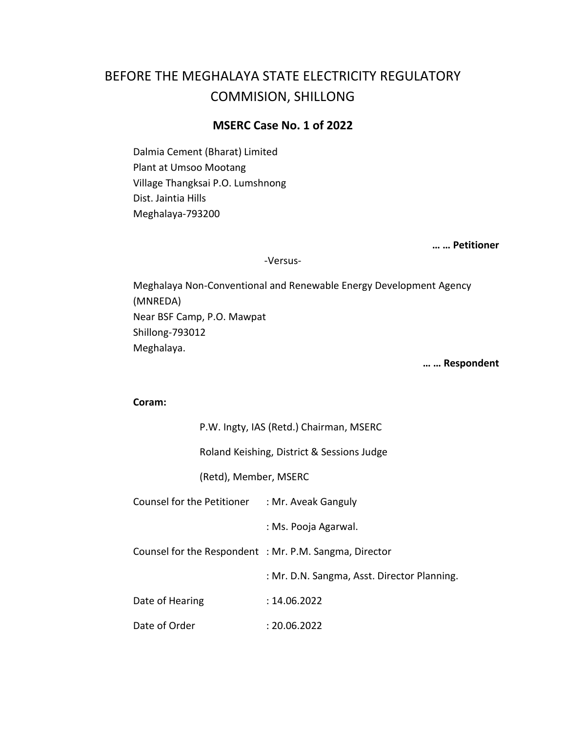# BEFORE THE MEGHALAYA STATE ELECTRICITY REGULATORY COMMISION, SHILLONG

## **MSERC Case No. 1 of 2022**

Dalmia Cement (Bharat) Limited Plant at Umsoo Mootang Village Thangksai P.O. Lumshnong Dist. Jaintia Hills Meghalaya-793200

**… … Petitioner**

-Versus-

Meghalaya Non-Conventional and Renewable Energy Development Agency (MNREDA) Near BSF Camp, P.O. Mawpat Shillong-793012 Meghalaya.

**… … Respondent**

### **Coram:**

|                                                | P.W. Ingty, IAS (Retd.) Chairman, MSERC                |  |  |
|------------------------------------------------|--------------------------------------------------------|--|--|
|                                                | Roland Keishing, District & Sessions Judge             |  |  |
| (Retd), Member, MSERC                          |                                                        |  |  |
| Counsel for the Petitioner : Mr. Aveak Ganguly |                                                        |  |  |
|                                                | : Ms. Pooja Agarwal.                                   |  |  |
|                                                | Counsel for the Respondent : Mr. P.M. Sangma, Director |  |  |
|                                                | : Mr. D.N. Sangma, Asst. Director Planning.            |  |  |
| Date of Hearing                                | : 14.06.2022                                           |  |  |
| Date of Order                                  | : 20.06.2022                                           |  |  |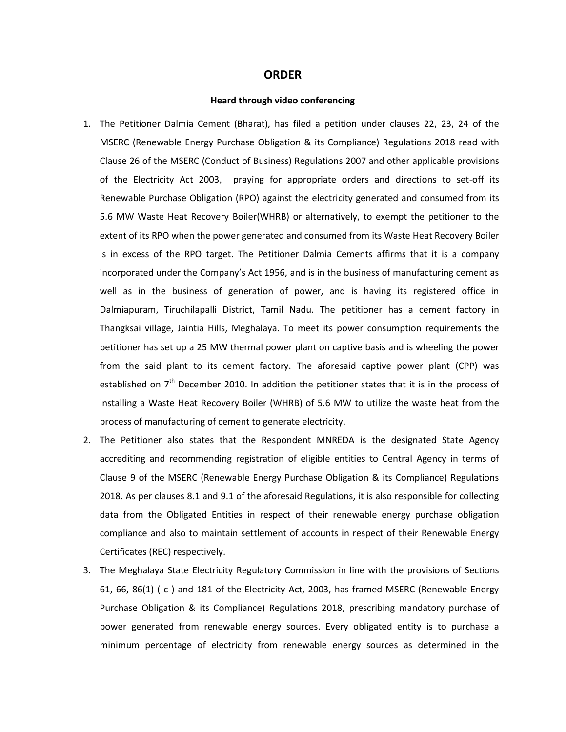#### **ORDER**

#### **Heard through video conferencing**

- 1. The Petitioner Dalmia Cement (Bharat), has filed a petition under clauses 22, 23, 24 of the MSERC (Renewable Energy Purchase Obligation & its Compliance) Regulations 2018 read with Clause 26 of the MSERC (Conduct of Business) Regulations 2007 and other applicable provisions of the Electricity Act 2003, praying for appropriate orders and directions to set-off its Renewable Purchase Obligation (RPO) against the electricity generated and consumed from its 5.6 MW Waste Heat Recovery Boiler(WHRB) or alternatively, to exempt the petitioner to the extent of its RPO when the power generated and consumed from its Waste Heat Recovery Boiler is in excess of the RPO target. The Petitioner Dalmia Cements affirms that it is a company incorporated under the Company's Act 1956, and is in the business of manufacturing cement as well as in the business of generation of power, and is having its registered office in Dalmiapuram, Tiruchilapalli District, Tamil Nadu. The petitioner has a cement factory in Thangksai village, Jaintia Hills, Meghalaya. To meet its power consumption requirements the petitioner has set up a 25 MW thermal power plant on captive basis and is wheeling the power from the said plant to its cement factory. The aforesaid captive power plant (CPP) was established on  $7<sup>th</sup>$  December 2010. In addition the petitioner states that it is in the process of installing a Waste Heat Recovery Boiler (WHRB) of 5.6 MW to utilize the waste heat from the process of manufacturing of cement to generate electricity.
- 2. The Petitioner also states that the Respondent MNREDA is the designated State Agency accrediting and recommending registration of eligible entities to Central Agency in terms of Clause 9 of the MSERC (Renewable Energy Purchase Obligation & its Compliance) Regulations 2018. As per clauses 8.1 and 9.1 of the aforesaid Regulations, it is also responsible for collecting data from the Obligated Entities in respect of their renewable energy purchase obligation compliance and also to maintain settlement of accounts in respect of their Renewable Energy Certificates (REC) respectively.
- 3. The Meghalaya State Electricity Regulatory Commission in line with the provisions of Sections 61, 66, 86(1) ( c ) and 181 of the Electricity Act, 2003, has framed MSERC (Renewable Energy Purchase Obligation & its Compliance) Regulations 2018, prescribing mandatory purchase of power generated from renewable energy sources. Every obligated entity is to purchase a minimum percentage of electricity from renewable energy sources as determined in the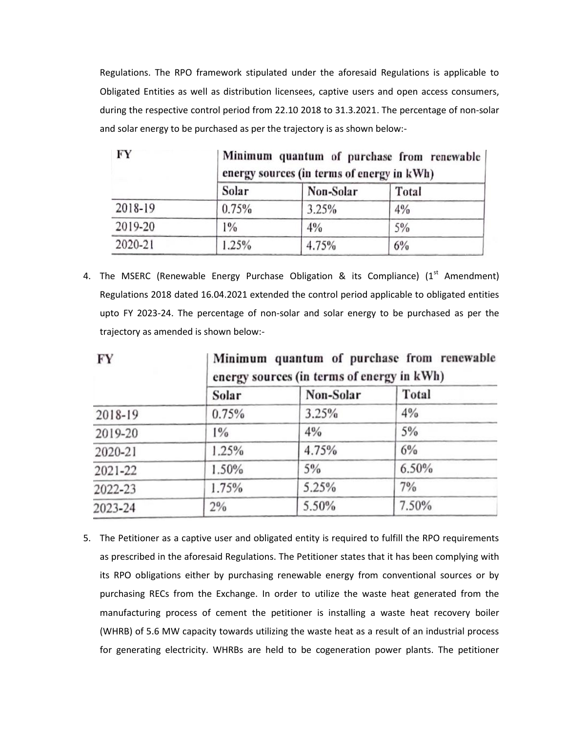Regulations. The RPO framework stipulated under the aforesaid Regulations is applicable to Obligated Entities as well as distribution licensees, captive users and open access consumers, during the respective control period from 22.10 2018 to 31.3.2021. The percentage of non-solar and solar energy to be purchased as per the trajectory is as shown below:-

| - FY    | Minimum quantum of purchase from renewable<br>energy sources (in terms of energy in kWh) |           |       |  |
|---------|------------------------------------------------------------------------------------------|-----------|-------|--|
|         | Solar                                                                                    | Non-Solar | Total |  |
| 2018-19 | 0.75%                                                                                    | 3.25%     | 4%    |  |
| 2019-20 | $1\%$                                                                                    | 4%        | 5%    |  |
| 2020-21 | 1.25%                                                                                    | 4.75%     | 6%    |  |

4. The MSERC (Renewable Energy Purchase Obligation & its Compliance)  $(1^{st}$  Amendment) Regulations 2018 dated 16.04.2021 extended the control period applicable to obligated entities upto FY 2023-24. The percentage of non-solar and solar energy to be purchased as per the trajectory as amended is shown below:-

| FY      | Minimum quantum of purchase from renewable<br>energy sources (in terms of energy in kWh) |           |       |  |
|---------|------------------------------------------------------------------------------------------|-----------|-------|--|
|         | Solar                                                                                    | Non-Solar | Total |  |
| 2018-19 | 0.75%                                                                                    | 3.25%     | 4%    |  |
| 2019-20 | $1\%$                                                                                    | $4\%$     | 5%    |  |
| 2020-21 | 1.25%                                                                                    | 4.75%     | 6%    |  |
| 2021-22 | 1.50%                                                                                    | 5%        | 6.50% |  |
| 2022-23 | 1.75%                                                                                    | 5.25%     | 7%    |  |
| 2023-24 | 2%                                                                                       | 5.50%     | 7.50% |  |

5. The Petitioner as a captive user and obligated entity is required to fulfill the RPO requirements as prescribed in the aforesaid Regulations. The Petitioner states that it has been complying with its RPO obligations either by purchasing renewable energy from conventional sources or by purchasing RECs from the Exchange. In order to utilize the waste heat generated from the manufacturing process of cement the petitioner is installing a waste heat recovery boiler (WHRB) of 5.6 MW capacity towards utilizing the waste heat as a result of an industrial process for generating electricity. WHRBs are held to be cogeneration power plants. The petitioner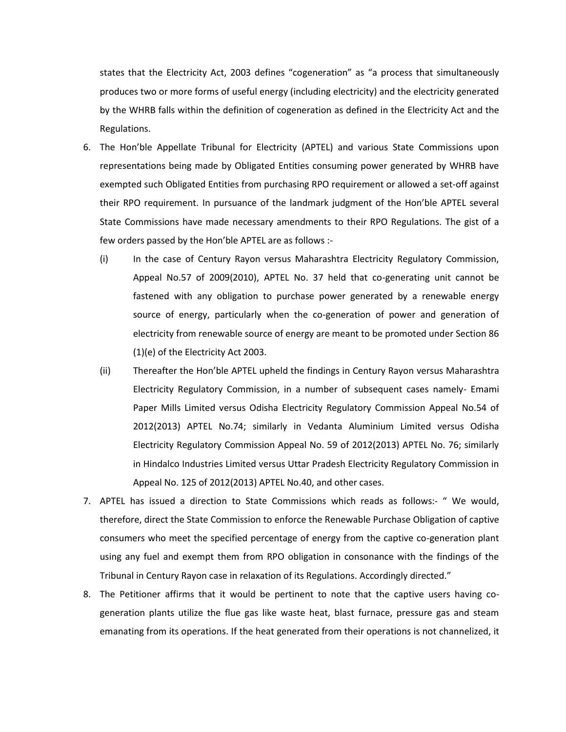states that the Electricity Act, 2003 defines "cogeneration" as "a process that simultaneously produces two or more forms of useful energy (including electricity) and the electricity generated by the WHRB falls within the definition of cogeneration as defined in the Electricity Act and the Regulations.

- 6. The Hon'ble Appellate Tribunal for Electricity (APTEL) and various State Commissions upon representations being made by Obligated Entities consuming power generated by WHRB have exempted such Obligated Entities from purchasing RPO requirement or allowed a set-off against their RPO requirement. In pursuance of the landmark judgment of the Hon'ble APTEL several State Commissions have made necessary amendments to their RPO Regulations. The gist of a few orders passed by the Hon'ble APTEL are as follows :-
	- (i) In the case of Century Rayon versus Maharashtra Electricity Regulatory Commission, Appeal No.57 of 2009(2010), APTEL No. 37 held that co-generating unit cannot be fastened with any obligation to purchase power generated by a renewable energy source of energy, particularly when the co-generation of power and generation of electricity from renewable source of energy are meant to be promoted under Section 86 (1)(e) of the Electricity Act 2003.
	- (ii) Thereafter the Hon'ble APTEL upheld the findings in Century Rayon versus Maharashtra Electricity Regulatory Commission, in a number of subsequent cases namely- Emami Paper Mills Limited versus Odisha Electricity Regulatory Commission Appeal No.54 of 2012(2013) APTEL No.74; similarly in Vedanta Aluminium Limited versus Odisha Electricity Regulatory Commission Appeal No. 59 of 2012(2013) APTEL No. 76; similarly in Hindalco Industries Limited versus Uttar Pradesh Electricity Regulatory Commission in Appeal No. 125 of 2012(2013) APTEL No.40, and other cases.
- 7. APTEL has issued a direction to State Commissions which reads as follows:- " We would, therefore, direct the State Commission to enforce the Renewable Purchase Obligation of captive consumers who meet the specified percentage of energy from the captive co-generation plant using any fuel and exempt them from RPO obligation in consonance with the findings of the Tribunal in Century Rayon case in relaxation of its Regulations. Accordingly directed."
- 8. The Petitioner affirms that it would be pertinent to note that the captive users having cogeneration plants utilize the flue gas like waste heat, blast furnace, pressure gas and steam emanating from its operations. If the heat generated from their operations is not channelized, it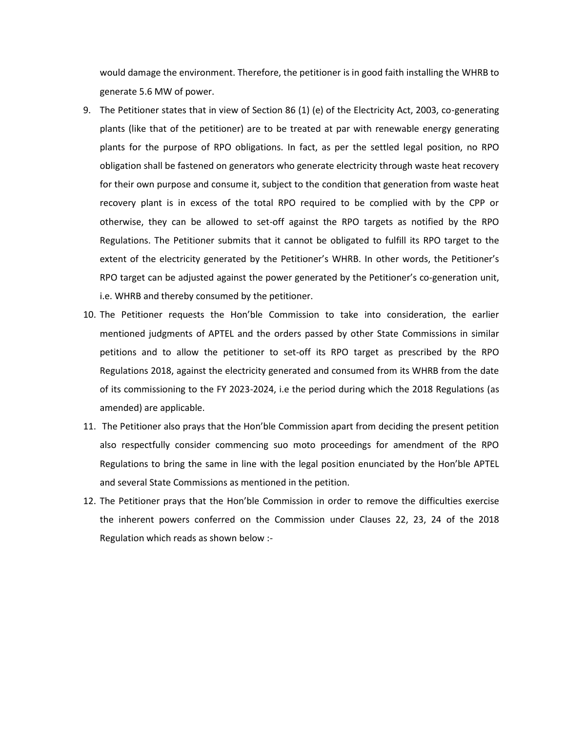would damage the environment. Therefore, the petitioner is in good faith installing the WHRB to generate 5.6 MW of power.

- 9. The Petitioner states that in view of Section 86 (1) (e) of the Electricity Act, 2003, co-generating plants (like that of the petitioner) are to be treated at par with renewable energy generating plants for the purpose of RPO obligations. In fact, as per the settled legal position, no RPO obligation shall be fastened on generators who generate electricity through waste heat recovery for their own purpose and consume it, subject to the condition that generation from waste heat recovery plant is in excess of the total RPO required to be complied with by the CPP or otherwise, they can be allowed to set-off against the RPO targets as notified by the RPO Regulations. The Petitioner submits that it cannot be obligated to fulfill its RPO target to the extent of the electricity generated by the Petitioner's WHRB. In other words, the Petitioner's RPO target can be adjusted against the power generated by the Petitioner's co-generation unit, i.e. WHRB and thereby consumed by the petitioner.
- 10. The Petitioner requests the Hon'ble Commission to take into consideration, the earlier mentioned judgments of APTEL and the orders passed by other State Commissions in similar petitions and to allow the petitioner to set-off its RPO target as prescribed by the RPO Regulations 2018, against the electricity generated and consumed from its WHRB from the date of its commissioning to the FY 2023-2024, i.e the period during which the 2018 Regulations (as amended) are applicable.
- 11. The Petitioner also prays that the Hon'ble Commission apart from deciding the present petition also respectfully consider commencing suo moto proceedings for amendment of the RPO Regulations to bring the same in line with the legal position enunciated by the Hon'ble APTEL and several State Commissions as mentioned in the petition.
- 12. The Petitioner prays that the Hon'ble Commission in order to remove the difficulties exercise the inherent powers conferred on the Commission under Clauses 22, 23, 24 of the 2018 Regulation which reads as shown below :-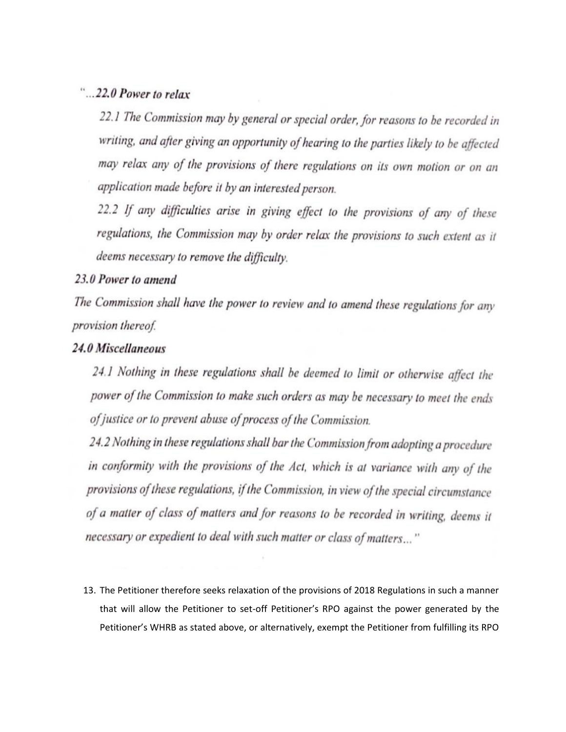## "...22.0 Power to relax

22.1 The Commission may by general or special order, for reasons to be recorded in writing, and after giving an opportunity of hearing to the parties likely to be affected may relax any of the provisions of there regulations on its own motion or on an application made before it by an interested person.

22.2 If any difficulties arise in giving effect to the provisions of any of these regulations, the Commission may by order relax the provisions to such extent as it deems necessary to remove the difficulty.

## 23.0 Power to amend

The Commission shall have the power to review and to amend these regulations for any provision thereof.

## 24.0 Miscellaneous

24.1 Nothing in these regulations shall be deemed to limit or otherwise affect the power of the Commission to make such orders as may be necessary to meet the ends of justice or to prevent abuse of process of the Commission.

24.2 Nothing in these regulations shall bar the Commission from adopting a procedure in conformity with the provisions of the Act, which is at variance with any of the provisions of these regulations, if the Commission, in view of the special circumstance of a matter of class of matters and for reasons to be recorded in writing, deems it necessary or expedient to deal with such matter or class of matters..."

13. The Petitioner therefore seeks relaxation of the provisions of 2018 Regulations in such a manner that will allow the Petitioner to set-off Petitioner's RPO against the power generated by the Petitioner's WHRB as stated above, or alternatively, exempt the Petitioner from fulfilling its RPO